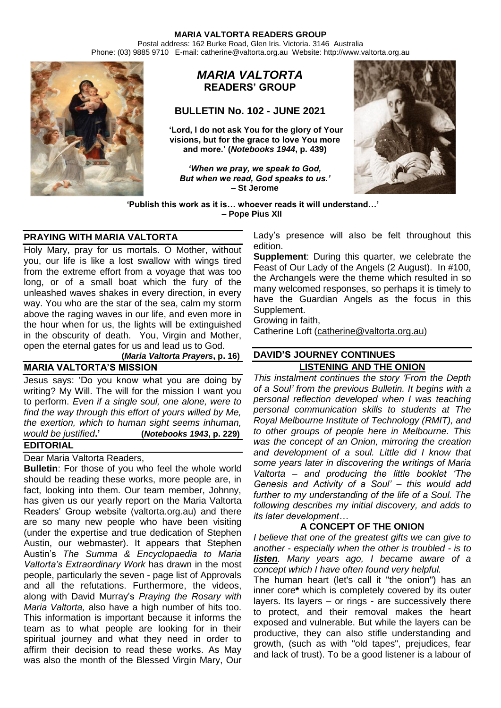Postal address: 162 Burke Road, Glen Iris. Victoria. 3146 Australia Phone: (03) 9885 9710 E-mail: catherine@valtorta.org.au Website: http://www.valtorta.org.au



# *MARIA VALTORTA* **READERS' GROUP**

## **BULLETIN No. 102 - JUNE 2021**

**'Lord, I do not ask You for the glory of Your visions, but for the grace to love You more and more.' (***Notebooks 1944***, p. 439)**

*'When we pray, we speak to God, But when we read, God speaks to us.'* **– St Jerome**



**'Publish this work as it is… whoever reads it will understand…' – Pope Pius XII**

## **PRAYING WITH MARIA VALTORTA**

Holy Mary, pray for us mortals. O Mother, without you, our life is like a lost swallow with wings tired from the extreme effort from a voyage that was too long, or of a small boat which the fury of the unleashed waves shakes in every direction, in every way. You who are the star of the sea, calm my storm above the raging waves in our life, and even more in the hour when for us, the lights will be extinguished in the obscurity of death. You, Virgin and Mother, open the eternal gates for us and lead us to God.

#### **(***Maria Valtorta Prayers***, p. 16) MARIA VALTORTA'S MISSION**

Jesus says: 'Do you know what you are doing by writing? My Will. The will for the mission I want you to perform. *Even if a single soul, one alone, were to find the way through this effort of yours willed by Me, the exertion, which to human sight seems inhuman, would be justified***.' (***Notebooks 1943***, p. 229)**

# **EDITORIAL**

Dear Maria Valtorta Readers,

**Bulletin**: For those of you who feel the whole world should be reading these works, more people are, in fact, looking into them. Our team member, Johnny, has given us our yearly report on the Maria Valtorta Readers' Group website (valtorta.org.au) and there are so many new people who have been visiting (under the expertise and true dedication of Stephen Austin, our webmaster). It appears that Stephen Austin's *The Summa & Encyclopaedia to Maria Valtorta's Extraordinary Work* has drawn in the most people, particularly the seven - page list of Approvals and all the refutations. Furthermore, the videos, along with David Murray's *Praying the Rosary with Maria Valtorta,* also have a high number of hits too. This information is important because it informs the team as to what people are looking for in their spiritual journey and what they need in order to affirm their decision to read these works. As May was also the month of the Blessed Virgin Mary, Our

Lady's presence will also be felt throughout this edition.

**Supplement**: During this quarter, we celebrate the Feast of Our Lady of the Angels (2 August). In #100, the Archangels were the theme which resulted in so many welcomed responses, so perhaps it is timely to have the Guardian Angels as the focus in this Supplement.

Growing in faith,

Catherine Loft [\(catherine@valtorta.org.au\)](mailto:catherine@valtorta.org.au)

# **DAVID'S JOURNEY CONTINUES**

**LISTENING AND THE ONION** *This instalment continues the story 'From the Depth of a Soul' from the previous Bulletin. It begins with a personal reflection developed when I was teaching personal communication skills to students at The Royal Melbourne Institute of Technology (RMIT), and to other groups of people here in Melbourne. This was the concept of an Onion, mirroring the creation and development of a soul. Little did I know that some years later in discovering the writings of Maria Valtorta – and producing the little booklet 'The Genesis and Activity of a Soul' – this would add further to my understanding of the life of a Soul. The following describes my initial discovery, and adds to its later development…*

## **A CONCEPT OF THE ONION**

*I believe that one of the greatest gifts we can give to another - especially when the other is troubled - is to listen. Many years ago, I became aware of a concept which I have often found very helpful.*

The human heart (let's call it "the onion") has an inner core**\*** which is completely covered by its outer layers. Its layers – or rings - are successively there to protect, and their removal makes the heart exposed and vulnerable. But while the layers can be productive, they can also stifle understanding and growth, (such as with "old tapes", prejudices, fear and lack of trust). To be a good listener is a labour of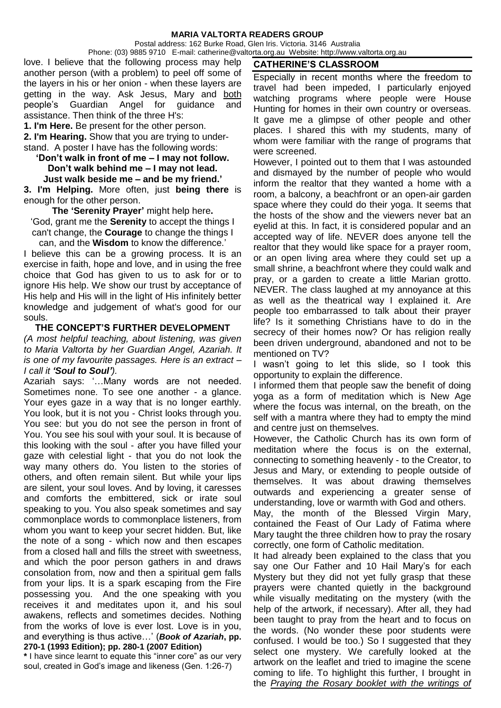Postal address: 162 Burke Road, Glen Iris. Victoria. 3146 Australia

Phone: (03) 9885 9710 E-mail: catherine@valtorta.org.au Website: http://www.valtorta.org.au love. I believe that the following process may help another person (with a problem) to peel off some of the layers in his or her onion - when these layers are getting in the way. Ask Jesus, Mary and both people's Guardian Angel for guidance and assistance. Then think of the three H's:

**1. I'm Here.** Be present for the other person.

**2. I'm Hearing.** Show that you are trying to understand. A poster I have has the following words:

**'Don't walk in front of me – I may not follow. Don't walk behind me – I may not lead.** 

**Just walk beside me – and be my friend.' 3. I'm Helping.** More often, just **being there** is enough for the other person.

**The 'Serenity Prayer'** might help here**.** 'God, grant me the **Serenity** to accept the things I can't change, the **Courage** to change the things I can, and the **Wisdom** to know the difference.'

I believe this can be a growing process. It is an exercise in faith, hope and love, and in using the free choice that God has given to us to ask for or to ignore His help. We show our trust by acceptance of His help and His will in the light of His infinitely better knowledge and judgement of what's good for our souls.

### **THE CONCEPT'S FURTHER DEVELOPMENT**

*(A most helpful teaching, about listening, was given to Maria Valtorta by her Guardian Angel, Azariah. It is one of my favourite passages. Here is an extract – I call it 'Soul to Soul').*

Azariah says: '…Many words are not needed. Sometimes none. To see one another - a glance. Your eyes gaze in a way that is no longer earthly. You look, but it is not you - Christ looks through you. You see: but you do not see the person in front of You. You see his soul with your soul. It is because of this looking with the soul - after you have filled your gaze with celestial light - that you do not look the way many others do. You listen to the stories of others, and often remain silent. But while your lips are silent, your soul loves. And by loving, it caresses and comforts the embittered, sick or irate soul speaking to you. You also speak sometimes and say commonplace words to commonplace listeners, from whom you want to keep your secret hidden. But, like the note of a song - which now and then escapes from a closed hall and fills the street with sweetness, and which the poor person gathers in and draws consolation from, now and then a spiritual gem falls from your lips. It is a spark escaping from the Fire possessing you. And the one speaking with you receives it and meditates upon it, and his soul awakens, reflects and sometimes decides. Nothing from the works of love is ever lost. Love is in you, and everything is thus active…' (*Book of Azariah***, pp. 270-1 (1993 Edition); pp. 280-1 (2007 Edition)**

**\*** I have since learnt to equate this "inner core" as our very soul, created in God's image and likeness (Gen. 1:26-7)

# **CATHERINE'S CLASSROOM**

Especially in recent months where the freedom to travel had been impeded, I particularly enjoyed watching programs where people were House Hunting for homes in their own country or overseas. It gave me a glimpse of other people and other places. I shared this with my students, many of whom were familiar with the range of programs that were screened.

However, I pointed out to them that I was astounded and dismayed by the number of people who would inform the realtor that they wanted a home with a room, a balcony, a beachfront or an open-air garden space where they could do their yoga. It seems that the hosts of the show and the viewers never bat an eyelid at this. In fact, it is considered popular and an accepted way of life. NEVER does anyone tell the realtor that they would like space for a prayer room, or an open living area where they could set up a small shrine, a beachfront where they could walk and pray, or a garden to create a little Marian grotto. NEVER. The class laughed at my annoyance at this as well as the theatrical way I explained it. Are people too embarrassed to talk about their prayer life? Is it something Christians have to do in the secrecy of their homes now? Or has religion really been driven underground, abandoned and not to be mentioned on TV?

I wasn't going to let this slide, so I took this opportunity to explain the difference.

I informed them that people saw the benefit of doing yoga as a form of meditation which is New Age where the focus was internal, on the breath, on the self with a mantra where they had to empty the mind and centre just on themselves.

However, the Catholic Church has its own form of meditation where the focus is on the external, connecting to something heavenly - to the Creator, to Jesus and Mary, or extending to people outside of themselves. It was about drawing themselves outwards and experiencing a greater sense of understanding, love or warmth with God and others.

May, the month of the Blessed Virgin Mary, contained the Feast of Our Lady of Fatima where Mary taught the three children how to pray the rosary correctly, one form of Catholic meditation.

It had already been explained to the class that you say one Our Father and 10 Hail Mary's for each Mystery but they did not yet fully grasp that these prayers were chanted quietly in the background while visually meditating on the mystery (with the help of the artwork, if necessary). After all, they had been taught to pray from the heart and to focus on the words. (No wonder these poor students were confused. I would be too.) So I suggested that they select one mystery. We carefully looked at the artwork on the leaflet and tried to imagine the scene coming to life. To highlight this further, I brought in the *Praying the Rosary booklet with the writings of*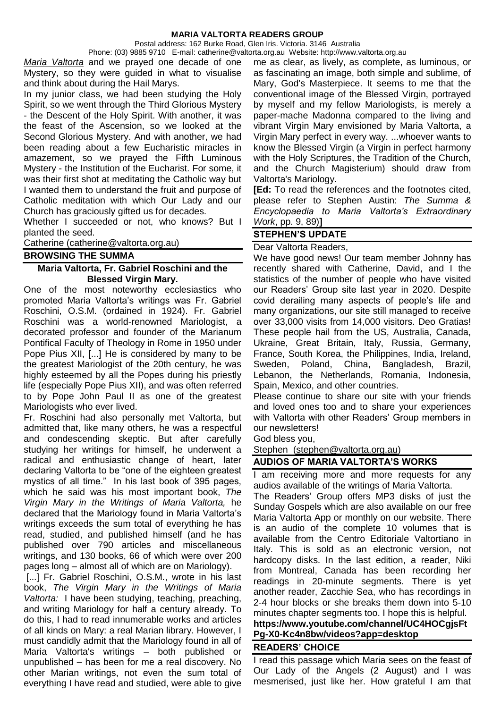Postal address: 162 Burke Road, Glen Iris. Victoria. 3146 Australia

Phone: (03) 9885 9710 E-mail: catherine@valtorta.org.au Website: http://www.valtorta.org.au *Maria Valtorta* and we prayed one decade of one Mystery, so they were guided in what to visualise and think about during the Hail Marys.

In my junior class, we had been studying the Holy Spirit, so we went through the Third Glorious Mystery - the Descent of the Holy Spirit. With another, it was the feast of the Ascension, so we looked at the Second Glorious Mystery. And with another, we had been reading about a few Eucharistic miracles in amazement, so we prayed the Fifth Luminous Mystery - the Institution of the Eucharist. For some, it was their first shot at meditating the Catholic way but I wanted them to understand the fruit and purpose of Catholic meditation with which Our Lady and our Church has graciously gifted us for decades.

Whether I succeeded or not, who knows? But I planted the seed.

Catherine (catherine@valtorta.org.au)

**BROWSING THE SUMMA**

### **Maria Valtorta, Fr. Gabriel Roschini and the Blessed Virgin Mary.**

One of the most noteworthy ecclesiastics who promoted Maria Valtorta's writings was Fr. Gabriel Roschini, O.S.M. (ordained in 1924). Fr. Gabriel Roschini was a world-renowned Mariologist, a decorated professor and founder of the Marianum Pontifical Faculty of Theology in Rome in 1950 under Pope Pius XII, [...] He is considered by many to be the greatest Mariologist of the 20th century, he was highly esteemed by all the Popes during his priestly life (especially Pope Pius XII), and was often referred to by Pope John Paul II as one of the greatest Mariologists who ever lived.

Fr. Roschini had also personally met Valtorta, but admitted that, like many others, he was a respectful and condescending skeptic. But after carefully studying her writings for himself, he underwent a radical and enthusiastic change of heart, later declaring Valtorta to be "one of the eighteen greatest mystics of all time." In his last book of 395 pages, which he said was his most important book, *The Virgin Mary in the Writings of Maria Valtorta,* he declared that the Mariology found in Maria Valtorta's writings exceeds the sum total of everything he has read, studied, and published himself (and he has published over 790 articles and miscellaneous writings, and 130 books, 66 of which were over 200 pages long – almost all of which are on Mariology).

[...] Fr. Gabriel Roschini, O.S.M., wrote in his last book, *The Virgin Mary in the Writings of Maria Valtorta:* I have been studying, teaching, preaching, and writing Mariology for half a century already. To do this, I had to read innumerable works and articles of all kinds on Mary: a real Marian library. However, I must candidly admit that the Mariology found in all of Maria Valtorta's writings – both published or unpublished – has been for me a real discovery. No other Marian writings, not even the sum total of everything I have read and studied, were able to give me as clear, as lively, as complete, as luminous, or as fascinating an image, both simple and sublime, of Mary, God's Masterpiece. It seems to me that the conventional image of the Blessed Virgin, portrayed by myself and my fellow Mariologists, is merely a paper-mache Madonna compared to the living and vibrant Virgin Mary envisioned by Maria Valtorta, a Virgin Mary perfect in every way. ...whoever wants to know the Blessed Virgin (a Virgin in perfect harmony with the Holy Scriptures, the Tradition of the Church, and the Church Magisterium) should draw from Valtorta's Mariology.

**[Ed:** To read the references and the footnotes cited, please refer to Stephen Austin: *The Summa & Encyclopaedia to Maria Valtorta's Extraordinary Work*, pp. 9, 89)**]**

# **STEPHEN'S UPDATE**

### Dear Valtorta Readers,

We have good news! Our team member Johnny has recently shared with Catherine, David, and I the statistics of the number of people who have visited our Readers' Group site last year in 2020. Despite covid derailing many aspects of people's life and many organizations, our site still managed to receive over 33,000 visits from 14,000 visitors. Deo Gratias! These people hail from the US, Australia, Canada, Ukraine, Great Britain, Italy, Russia, Germany, France, South Korea, the Philippines, India, Ireland, Sweden, Poland, China, Bangladesh, Brazil, Lebanon, the Netherlands, Romania, Indonesia, Spain, Mexico, and other countries.

Please continue to share our site with your friends and loved ones too and to share your experiences with Valtorta with other Readers' Group members in our newsletters!

God bless you,

Stephen [\(stephen@valtorta.org.au\)](mailto:stephen@valtorta.org.au)

**AUDIOS OF MARIA VALTORTA'S WORKS**

I am receiving more and more requests for any audios available of the writings of Maria Valtorta.

The Readers' Group offers MP3 disks of just the Sunday Gospels which are also available on our free Maria Valtorta App or monthly on our website. There is an audio of the complete 10 volumes that is available from the Centro Editoriale Valtortiano in Italy. This is sold as an electronic version, not hardcopy disks. In the last edition, a reader, Niki from Montreal, Canada has been recording her readings in 20-minute segments. There is yet another reader, Zacchie Sea, who has recordings in 2-4 hour blocks or she breaks them down into 5-10 minutes chapter segments too. I hope this is helpful.

# **https://www.youtube.com/channel/UC4HOCgjsFt Pg-X0-Kc4n8bw/videos?app=desktop**

### **READERS' CHOICE**

I read this passage which Maria sees on the feast of Our Lady of the Angels (2 August) and I was mesmerised, just like her. How grateful I am that